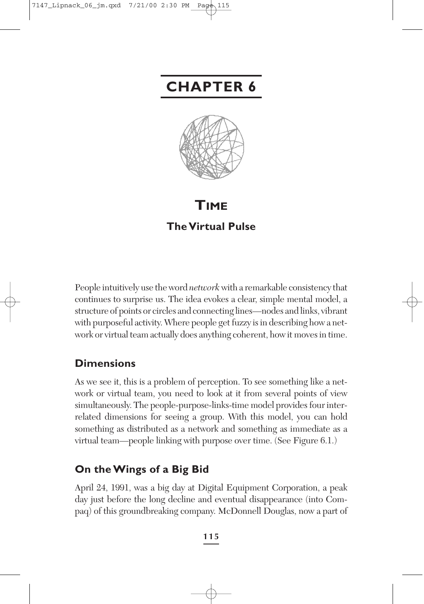# **CHAPTER 6**



**TIME**

**The Virtual Pulse**

People intuitively use the word *network*with a remarkable consistency that continues to surprise us. The idea evokes a clear, simple mental model, a structure of points or circles and connecting lines—nodes and links, vibrant with purposeful activity. Where people get fuzzy is in describing how a network or virtual team actually does anything coherent, how it moves in time.

# **Dimensions**

As we see it, this is a problem of perception. To see something like a network or virtual team, you need to look at it from several points of view simultaneously. The people-purpose-links-time model provides four interrelated dimensions for seeing a group. With this model, you can hold something as distributed as a network and something as immediate as a virtual team—people linking with purpose over time. (See Figure 6.1.)

# **On the Wings of a Big Bid**

April 24, 1991, was a big day at Digital Equipment Corporation, a peak day just before the long decline and eventual disappearance (into Compaq) of this groundbreaking company. McDonnell Douglas, now a part of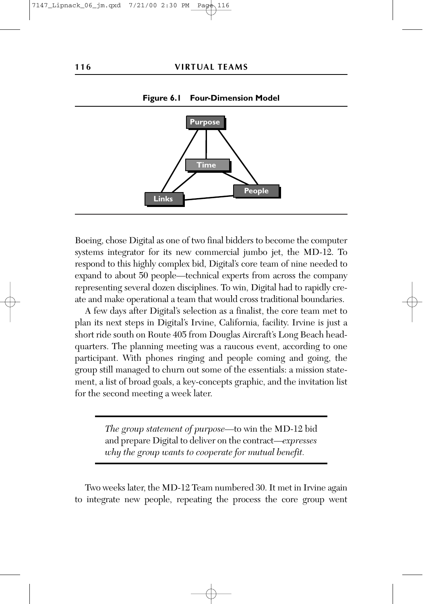

**Figure 6.1 Four-Dimension Model**

Boeing, chose Digital as one of two final bidders to become the computer systems integrator for its new commercial jumbo jet, the MD-12. To respond to this highly complex bid, Digital's core team of nine needed to expand to about 50 people—technical experts from across the company representing several dozen disciplines. To win, Digital had to rapidly create and make operational a team that would cross traditional boundaries.

A few days after Digital's selection as a finalist, the core team met to plan its next steps in Digital's Irvine, California, facility. Irvine is just a short ride south on Route 405 from Douglas Aircraft's Long Beach headquarters. The planning meeting was a raucous event, according to one participant. With phones ringing and people coming and going, the group still managed to churn out some of the essentials: a mission statement, a list of broad goals, a key-concepts graphic, and the invitation list for the second meeting a week later.

> *The group statement of purpose*—to win the MD-12 bid and prepare Digital to deliver on the contract—*expresses why the group wants to cooperate for mutual benefit.*

Two weeks later, the MD-12 Team numbered 30. It met in Irvine again to integrate new people, repeating the process the core group went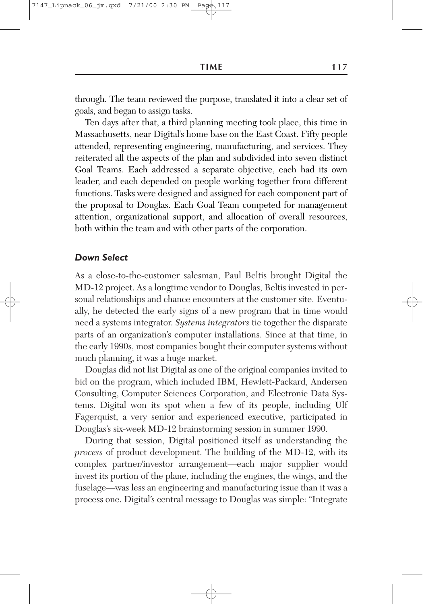through. The team reviewed the purpose, translated it into a clear set of goals, and began to assign tasks.

Ten days after that, a third planning meeting took place, this time in Massachusetts, near Digital's home base on the East Coast. Fifty people attended, representing engineering, manufacturing, and services. They reiterated all the aspects of the plan and subdivided into seven distinct Goal Teams. Each addressed a separate objective, each had its own leader, and each depended on people working together from different functions. Tasks were designed and assigned for each component part of the proposal to Douglas. Each Goal Team competed for management attention, organizational support, and allocation of overall resources, both within the team and with other parts of the corporation.

# *Down Select*

As a close-to-the-customer salesman, Paul Beltis brought Digital the MD-12 project. As a longtime vendor to Douglas, Beltis invested in personal relationships and chance encounters at the customer site. Eventually, he detected the early signs of a new program that in time would need a systems integrator. *Systems integrators* tie together the disparate parts of an organization's computer installations. Since at that time, in the early 1990s, most companies bought their computer systems without much planning, it was a huge market.

Douglas did not list Digital as one of the original companies invited to bid on the program, which included IBM, Hewlett-Packard, Andersen Consulting, Computer Sciences Corporation, and Electronic Data Systems. Digital won its spot when a few of its people, including Ulf Fagerquist, a very senior and experienced executive, participated in Douglas's six-week MD-12 brainstorming session in summer 1990.

During that session, Digital positioned itself as understanding the *process* of product development. The building of the MD-12, with its complex partner/investor arrangement—each major supplier would invest its portion of the plane, including the engines, the wings, and the fuselage—was less an engineering and manufacturing issue than it was a process one. Digital's central message to Douglas was simple: "Integrate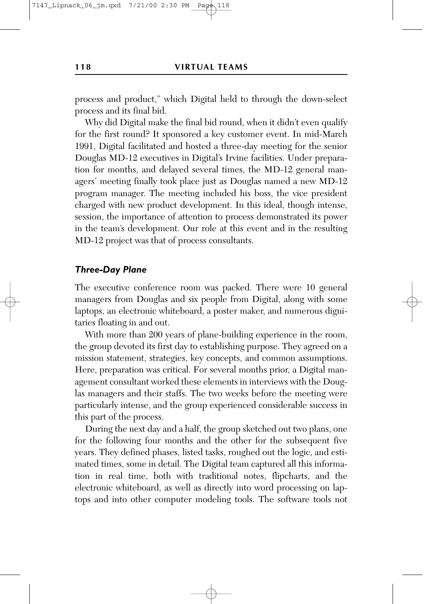process and product," which Digital held to through the down-select process and its final bid.

Why did Digital make the final bid round, when it didn't even qualify for the first round? It sponsored a key customer event. In mid-March 1991, Digital facilitated and hosted a three-day meeting for the senior Douglas MD-12 executives in Digital's Irvine facilities. Under preparation for months, and delayed several times, the MD-12 general managers' meeting finally took place just as Douglas named a new MD-12 program manager. The meeting included his boss, the vice president charged with new product development. In this ideal, though intense, session, the importance of attention to process demonstrated its power in the team's development. Our role at this event and in the resulting MD-12 project was that of process consultants.

# *Three-Day Plane*

The executive conference room was packed. There were 10 general managers from Douglas and six people from Digital, along with some laptops, an electronic whiteboard, a poster maker, and numerous dignitaries floating in and out.

With more than 200 years of plane-building experience in the room, the group devoted its first day to establishing purpose. They agreed on a mission statement, strategies, key concepts, and common assumptions. Here, preparation was critical. For several months prior, a Digital management consultant worked these elements in interviews with the Douglas managers and their staffs. The two weeks before the meeting were particularly intense, and the group experienced considerable success in this part of the process.

During the next day and a half, the group sketched out two plans, one for the following four months and the other for the subsequent five years. They defined phases, listed tasks, roughed out the logic, and estimated times, some in detail. The Digital team captured all this information in real time, both with traditional notes, flipcharts, and the electronic whiteboard, as well as directly into word processing on laptops and into other computer modeling tools. The software tools not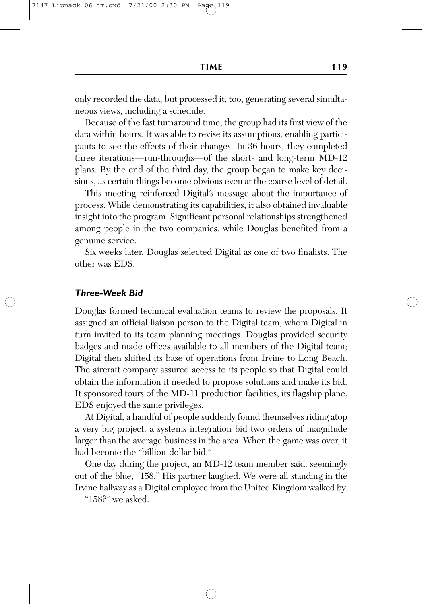only recorded the data, but processed it, too, generating several simultaneous views, including a schedule.

Because of the fast turnaround time, the group had its first view of the data within hours. It was able to revise its assumptions, enabling participants to see the effects of their changes. In 36 hours, they completed three iterations—run-throughs—of the short- and long-term MD-12 plans. By the end of the third day, the group began to make key decisions, as certain things become obvious even at the coarse level of detail.

This meeting reinforced Digital's message about the importance of process. While demonstrating its capabilities, it also obtained invaluable insight into the program. Significant personal relationships strengthened among people in the two companies, while Douglas benefited from a genuine service.

Six weeks later, Douglas selected Digital as one of two finalists. The other was EDS.

#### *Three-Week Bid*

Douglas formed technical evaluation teams to review the proposals. It assigned an official liaison person to the Digital team, whom Digital in turn invited to its team planning meetings. Douglas provided security badges and made offices available to all members of the Digital team; Digital then shifted its base of operations from Irvine to Long Beach. The aircraft company assured access to its people so that Digital could obtain the information it needed to propose solutions and make its bid. It sponsored tours of the MD-11 production facilities, its flagship plane. EDS enjoyed the same privileges.

At Digital, a handful of people suddenly found themselves riding atop a very big project, a systems integration bid two orders of magnitude larger than the average business in the area. When the game was over, it had become the "billion-dollar bid."

One day during the project, an MD-12 team member said, seemingly out of the blue, "158." His partner laughed. We were all standing in the Irvine hallway as a Digital employee from the United Kingdom walked by.

"158?" we asked.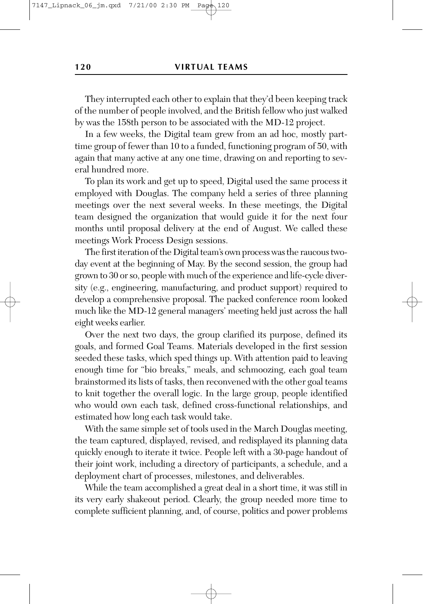They interrupted each other to explain that they'd been keeping track of the number of people involved, and the British fellow who just walked by was the 158th person to be associated with the MD-12 project.

In a few weeks, the Digital team grew from an ad hoc, mostly parttime group of fewer than 10 to a funded, functioning program of 50, with again that many active at any one time, drawing on and reporting to several hundred more.

To plan its work and get up to speed, Digital used the same process it employed with Douglas. The company held a series of three planning meetings over the next several weeks. In these meetings, the Digital team designed the organization that would guide it for the next four months until proposal delivery at the end of August. We called these meetings Work Process Design sessions.

The first iteration of the Digital team's own process was the raucous twoday event at the beginning of May. By the second session, the group had grown to 30 or so, people with much of the experience and life-cycle diversity (e.g., engineering, manufacturing, and product support) required to develop a comprehensive proposal. The packed conference room looked much like the MD-12 general managers' meeting held just across the hall eight weeks earlier.

Over the next two days, the group clarified its purpose, defined its goals, and formed Goal Teams. Materials developed in the first session seeded these tasks, which sped things up. With attention paid to leaving enough time for "bio breaks," meals, and schmoozing, each goal team brainstormed its lists of tasks, then reconvened with the other goal teams to knit together the overall logic. In the large group, people identified who would own each task, defined cross-functional relationships, and estimated how long each task would take.

With the same simple set of tools used in the March Douglas meeting, the team captured, displayed, revised, and redisplayed its planning data quickly enough to iterate it twice. People left with a 30-page handout of their joint work, including a directory of participants, a schedule, and a deployment chart of processes, milestones, and deliverables.

While the team accomplished a great deal in a short time, it was still in its very early shakeout period. Clearly, the group needed more time to complete sufficient planning, and, of course, politics and power problems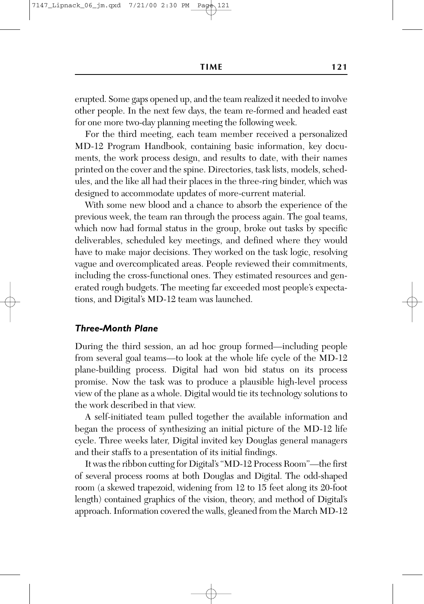erupted. Some gaps opened up, and the team realized it needed to involve other people. In the next few days, the team re-formed and headed east for one more two-day planning meeting the following week.

For the third meeting, each team member received a personalized MD-12 Program Handbook, containing basic information, key documents, the work process design, and results to date, with their names printed on the cover and the spine. Directories, task lists, models, schedules, and the like all had their places in the three-ring binder, which was designed to accommodate updates of more-current material.

With some new blood and a chance to absorb the experience of the previous week, the team ran through the process again. The goal teams, which now had formal status in the group, broke out tasks by specific deliverables, scheduled key meetings, and defined where they would have to make major decisions. They worked on the task logic, resolving vague and overcomplicated areas. People reviewed their commitments, including the cross-functional ones. They estimated resources and generated rough budgets. The meeting far exceeded most people's expectations, and Digital's MD-12 team was launched.

#### *Three-Month Plane*

During the third session, an ad hoc group formed—including people from several goal teams—to look at the whole life cycle of the MD-12 plane-building process. Digital had won bid status on its process promise. Now the task was to produce a plausible high-level process view of the plane as a whole. Digital would tie its technology solutions to the work described in that view.

A self-initiated team pulled together the available information and began the process of synthesizing an initial picture of the MD-12 life cycle. Three weeks later, Digital invited key Douglas general managers and their staffs to a presentation of its initial findings.

It was the ribbon cutting for Digital's "MD-12 Process Room"—the first of several process rooms at both Douglas and Digital. The odd-shaped room (a skewed trapezoid, widening from 12 to 15 feet along its 20-foot length) contained graphics of the vision, theory, and method of Digital's approach. Information covered the walls, gleaned from the March MD-12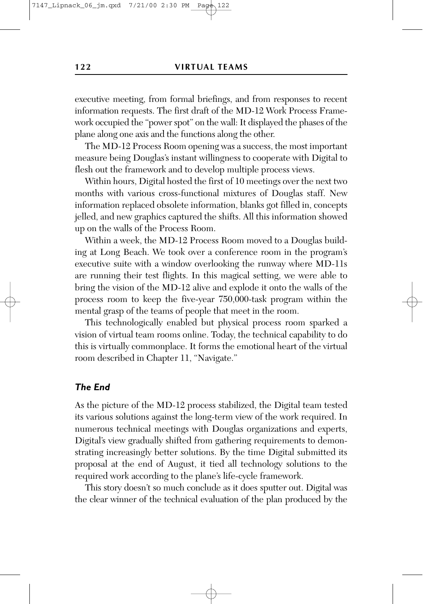executive meeting, from formal briefings, and from responses to recent information requests. The first draft of the MD-12 Work Process Framework occupied the "power spot" on the wall: It displayed the phases of the plane along one axis and the functions along the other.

The MD-12 Process Room opening was a success, the most important measure being Douglas's instant willingness to cooperate with Digital to flesh out the framework and to develop multiple process views.

Within hours, Digital hosted the first of 10 meetings over the next two months with various cross-functional mixtures of Douglas staff. New information replaced obsolete information, blanks got filled in, concepts jelled, and new graphics captured the shifts. All this information showed up on the walls of the Process Room.

Within a week, the MD-12 Process Room moved to a Douglas building at Long Beach. We took over a conference room in the program's executive suite with a window overlooking the runway where MD-11s are running their test flights. In this magical setting, we were able to bring the vision of the MD-12 alive and explode it onto the walls of the process room to keep the five-year 750,000-task program within the mental grasp of the teams of people that meet in the room.

This technologically enabled but physical process room sparked a vision of virtual team rooms online. Today, the technical capability to do this is virtually commonplace. It forms the emotional heart of the virtual room described in Chapter 11, "Navigate."

### *The End*

As the picture of the MD-12 process stabilized, the Digital team tested its various solutions against the long-term view of the work required. In numerous technical meetings with Douglas organizations and experts, Digital's view gradually shifted from gathering requirements to demonstrating increasingly better solutions. By the time Digital submitted its proposal at the end of August, it tied all technology solutions to the required work according to the plane's life-cycle framework.

This story doesn't so much conclude as it does sputter out. Digital was the clear winner of the technical evaluation of the plan produced by the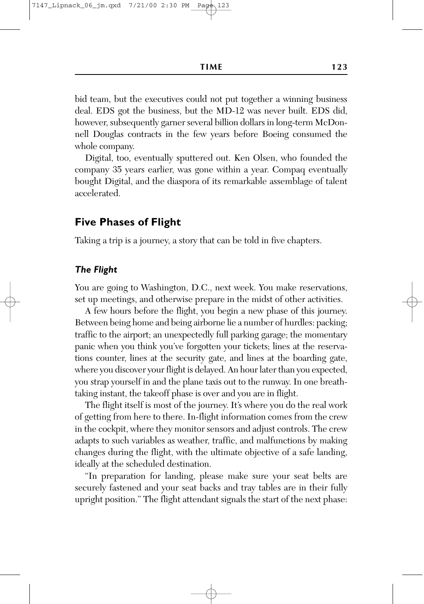bid team, but the executives could not put together a winning business deal. EDS got the business, but the MD-12 was never built. EDS did, however, subsequently garner several billion dollars in long-term McDonnell Douglas contracts in the few years before Boeing consumed the whole company.

Digital, too, eventually sputtered out. Ken Olsen, who founded the company 35 years earlier, was gone within a year. Compaq eventually bought Digital, and the diaspora of its remarkable assemblage of talent accelerated.

# **Five Phases of Flight**

Taking a trip is a journey, a story that can be told in five chapters.

## *The Flight*

You are going to Washington, D.C., next week. You make reservations, set up meetings, and otherwise prepare in the midst of other activities.

A few hours before the flight, you begin a new phase of this journey. Between being home and being airborne lie a number of hurdles: packing; traffic to the airport; an unexpectedly full parking garage; the momentary panic when you think you've forgotten your tickets; lines at the reservations counter, lines at the security gate, and lines at the boarding gate, where you discover your flight is delayed. An hour later than you expected, you strap yourself in and the plane taxis out to the runway. In one breathtaking instant, the takeoff phase is over and you are in flight.

The flight itself is most of the journey. It's where you do the real work of getting from here to there. In-flight information comes from the crew in the cockpit, where they monitor sensors and adjust controls. The crew adapts to such variables as weather, traffic, and malfunctions by making changes during the flight, with the ultimate objective of a safe landing, ideally at the scheduled destination.

"In preparation for landing, please make sure your seat belts are securely fastened and your seat backs and tray tables are in their fully upright position." The flight attendant signals the start of the next phase: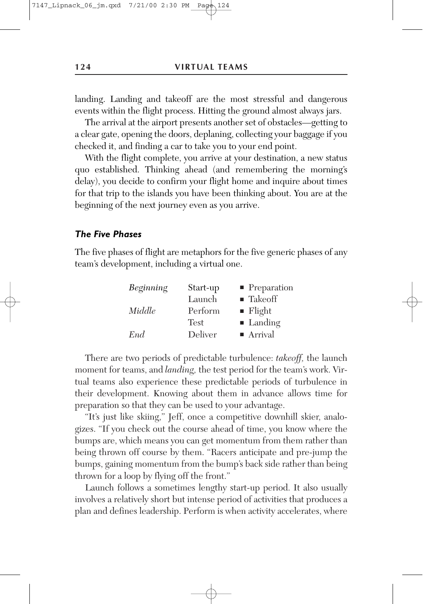landing. Landing and takeoff are the most stressful and dangerous events within the flight process. Hitting the ground almost always jars.

The arrival at the airport presents another set of obstacles—getting to a clear gate, opening the doors, deplaning, collecting your baggage if you checked it, and finding a car to take you to your end point.

With the flight complete, you arrive at your destination, a new status quo established. Thinking ahead (and remembering the morning's delay), you decide to confirm your flight home and inquire about times for that trip to the islands you have been thinking about. You are at the beginning of the next journey even as you arrive.

#### *The Five Phases*

The five phases of flight are metaphors for the five generic phases of any team's development, including a virtual one.

| <b>Beginning</b> | Start-up    | $\blacksquare$ Preparation |
|------------------|-------------|----------------------------|
|                  | Launch      | $\blacksquare$ Takeoff     |
| Middle           | Perform     | $\blacksquare$ Flight      |
|                  | <b>Test</b> | ■ Landing                  |
| End              | Deliver     | $\blacksquare$ Arrival     |

There are two periods of predictable turbulence: *takeoff,* the launch moment for teams, and *landing,* the test period for the team's work. Virtual teams also experience these predictable periods of turbulence in their development. Knowing about them in advance allows time for preparation so that they can be used to your advantage.

"It's just like skiing," Jeff, once a competitive downhill skier, analogizes. "If you check out the course ahead of time, you know where the bumps are, which means you can get momentum from them rather than being thrown off course by them. "Racers anticipate and pre-jump the bumps, gaining momentum from the bump's back side rather than being thrown for a loop by flying off the front."

Launch follows a sometimes lengthy start-up period. It also usually involves a relatively short but intense period of activities that produces a plan and defines leadership. Perform is when activity accelerates, where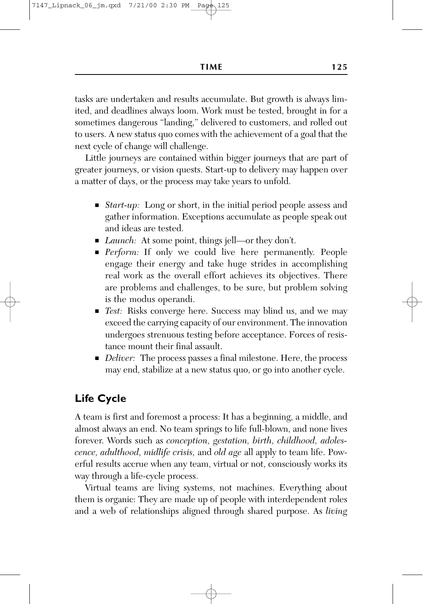tasks are undertaken and results accumulate. But growth is always limited, and deadlines always loom. Work must be tested, brought in for a sometimes dangerous "landing," delivered to customers, and rolled out to users. A new status quo comes with the achievement of a goal that the next cycle of change will challenge.

Little journeys are contained within bigger journeys that are part of greater journeys, or vision quests. Start-up to delivery may happen over a matter of days, or the process may take years to unfold.

- *Start-up*: Long or short, in the initial period people assess and gather information. Exceptions accumulate as people speak out and ideas are tested.
- *Launch*: At some point, things jell—or they don't.
- *Perform:* If only we could live here permanently. People engage their energy and take huge strides in accomplishing real work as the overall effort achieves its objectives. There are problems and challenges, to be sure, but problem solving is the modus operandi.
- *Test:* Risks converge here. Success may blind us, and we may exceed the carrying capacity of our environment. The innovation undergoes strenuous testing before acceptance. Forces of resistance mount their final assault.
- *Deliver:* The process passes a final milestone. Here, the process may end, stabilize at a new status quo, or go into another cycle.

# **Life Cycle**

A team is first and foremost a process: It has a beginning, a middle, and almost always an end. No team springs to life full-blown, and none lives forever. Words such as *conception, gestation, birth, childhood, adolescence, adulthood, midlife crisis,* and *old age* all apply to team life. Powerful results accrue when any team, virtual or not, consciously works its way through a life-cycle process.

Virtual teams are living systems, not machines. Everything about them is organic: They are made up of people with interdependent roles and a web of relationships aligned through shared purpose. As *living*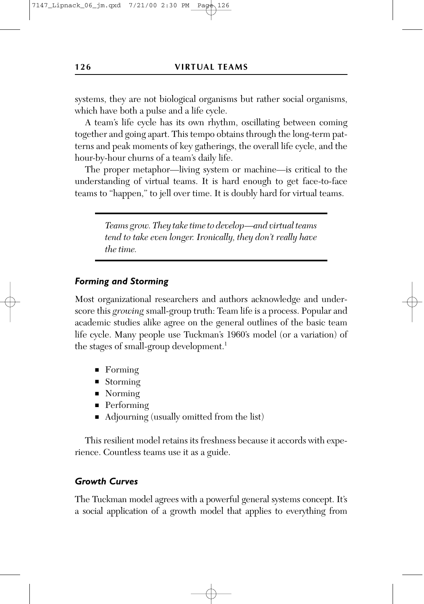systems, they are not biological organisms but rather social organisms, which have both a pulse and a life cycle.

A team's life cycle has its own rhythm, oscillating between coming together and going apart. This tempo obtains through the long-term patterns and peak moments of key gatherings, the overall life cycle, and the hour-by-hour churns of a team's daily life.

The proper metaphor—living system or machine—is critical to the understanding of virtual teams. It is hard enough to get face-to-face teams to "happen," to jell over time. It is doubly hard for virtual teams.

> *Teams grow. They take time to develop—and virtual teams tend to take even longer. Ironically, they don't really have the time.*

# *Forming and Storming*

Most organizational researchers and authors acknowledge and underscore this *growing* small-group truth: Team life is a process. Popular and academic studies alike agree on the general outlines of the basic team life cycle. Many people use Tuckman's 1960's model (or a variation) of the stages of small-group development.<sup>1</sup>

- Forming
- Storming
- Norming
- Performing
- Adjourning (usually omitted from the list)

This resilient model retains its freshness because it accords with experience. Countless teams use it as a guide.

# *Growth Curves*

The Tuckman model agrees with a powerful general systems concept. It's a social application of a growth model that applies to everything from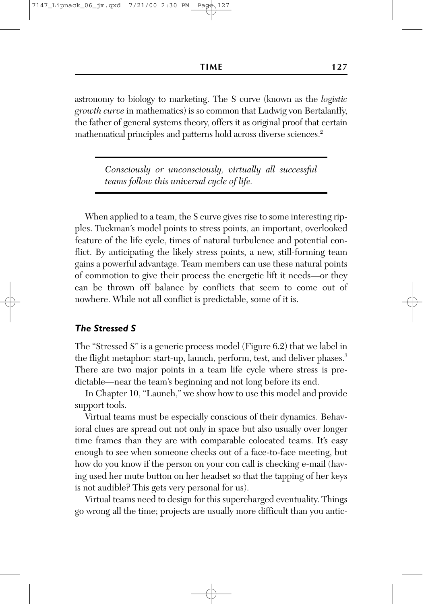astronomy to biology to marketing. The S curve (known as the *logistic growth curve* in mathematics) is so common that Ludwig von Bertalanffy, the father of general systems theory, offers it as original proof that certain mathematical principles and patterns hold across diverse sciences.<sup>2</sup>

> *Consciously or unconsciously, virtually all successful teams follow this universal cycle of life.*

When applied to a team, the S curve gives rise to some interesting ripples. Tuckman's model points to stress points, an important, overlooked feature of the life cycle, times of natural turbulence and potential conflict. By anticipating the likely stress points, a new, still-forming team gains a powerful advantage. Team members can use these natural points of commotion to give their process the energetic lift it needs—or they can be thrown off balance by conflicts that seem to come out of nowhere. While not all conflict is predictable, some of it is.

# *The Stressed S*

The "Stressed S" is a generic process model (Figure 6.2) that we label in the flight metaphor: start-up, launch, perform, test, and deliver phases.<sup>3</sup> There are two major points in a team life cycle where stress is predictable—near the team's beginning and not long before its end.

In Chapter 10, "Launch," we show how to use this model and provide support tools.

Virtual teams must be especially conscious of their dynamics. Behavioral clues are spread out not only in space but also usually over longer time frames than they are with comparable colocated teams. It's easy enough to see when someone checks out of a face-to-face meeting, but how do you know if the person on your con call is checking e-mail (having used her mute button on her headset so that the tapping of her keys is not audible? This gets very personal for us).

Virtual teams need to design for this supercharged eventuality. Things go wrong all the time; projects are usually more difficult than you antic-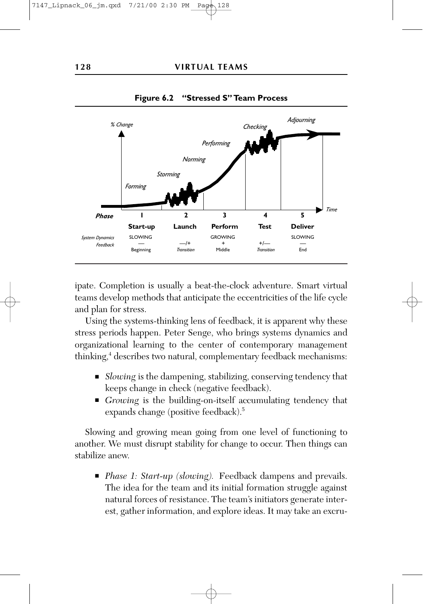

**Figure 6.2 "Stressed S" Team Process**

ipate. Completion is usually a beat-the-clock adventure. Smart virtual teams develop methods that anticipate the eccentricities of the life cycle and plan for stress.

Using the systems-thinking lens of feedback, it is apparent why these stress periods happen. Peter Senge, who brings systems dynamics and organizational learning to the center of contemporary management thinking,<sup>4</sup> describes two natural, complementary feedback mechanisms:

- *Slowing* is the dampening, stabilizing, conserving tendency that keeps change in check (negative feedback).
- *Growing* is the building-on-itself accumulating tendency that expands change (positive feedback).5

Slowing and growing mean going from one level of functioning to another. We must disrupt stability for change to occur. Then things can stabilize anew.

■ *Phase 1: Start-up (slowing).* Feedback dampens and prevails. The idea for the team and its initial formation struggle against natural forces of resistance. The team's initiators generate interest, gather information, and explore ideas. It may take an excru-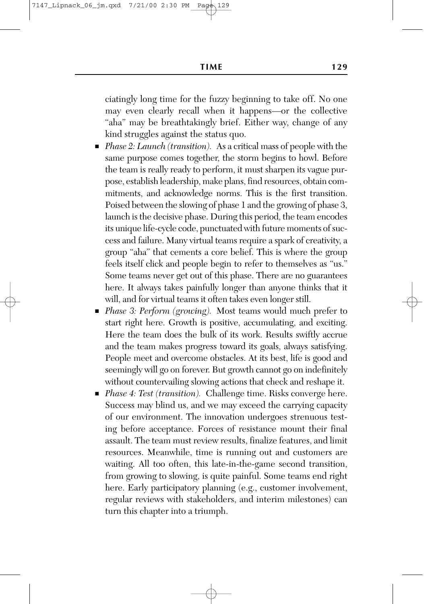ciatingly long time for the fuzzy beginning to take off. No one may even clearly recall when it happens—or the collective "aha" may be breathtakingly brief. Either way, change of any kind struggles against the status quo.

- *Phase 2: Launch (transition).* As a critical mass of people with the same purpose comes together, the storm begins to howl. Before the team is really ready to perform, it must sharpen its vague purpose, establish leadership, make plans, find resources, obtain commitments, and acknowledge norms. This is the first transition. Poised between the slowing of phase 1 and the growing of phase 3, launch is the decisive phase. During this period, the team encodes its unique life-cycle code, punctuated with future moments of success and failure. Many virtual teams require a spark of creativity, a group "aha" that cements a core belief. This is where the group feels itself click and people begin to refer to themselves as "us." Some teams never get out of this phase. There are no guarantees here. It always takes painfully longer than anyone thinks that it will, and for virtual teams it often takes even longer still.
- *Phase 3: Perform (growing)*. Most teams would much prefer to start right here. Growth is positive, accumulating, and exciting. Here the team does the bulk of its work. Results swiftly accrue and the team makes progress toward its goals, always satisfying. People meet and overcome obstacles. At its best, life is good and seemingly will go on forever. But growth cannot go on indefinitely without countervailing slowing actions that check and reshape it.
- *Phase 4: Test (transition).* Challenge time. Risks converge here. Success may blind us, and we may exceed the carrying capacity of our environment. The innovation undergoes strenuous testing before acceptance. Forces of resistance mount their final assault. The team must review results, finalize features, and limit resources. Meanwhile, time is running out and customers are waiting. All too often, this late-in-the-game second transition, from growing to slowing, is quite painful. Some teams end right here. Early participatory planning (e.g., customer involvement, regular reviews with stakeholders, and interim milestones) can turn this chapter into a triumph.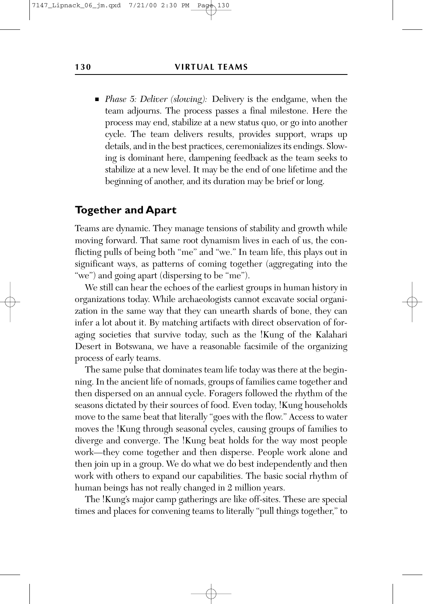■ *Phase 5: Deliver (slowing):* Delivery is the endgame, when the team adjourns. The process passes a final milestone. Here the process may end, stabilize at a new status quo, or go into another cycle. The team delivers results, provides support, wraps up details, and in the best practices, ceremonializes its endings. Slowing is dominant here, dampening feedback as the team seeks to stabilize at a new level. It may be the end of one lifetime and the beginning of another, and its duration may be brief or long.

# **Together and Apart**

Teams are dynamic. They manage tensions of stability and growth while moving forward. That same root dynamism lives in each of us, the conflicting pulls of being both "me" and "we." In team life, this plays out in significant ways, as patterns of coming together (aggregating into the "we") and going apart (dispersing to be "me").

We still can hear the echoes of the earliest groups in human history in organizations today. While archaeologists cannot excavate social organization in the same way that they can unearth shards of bone, they can infer a lot about it. By matching artifacts with direct observation of foraging societies that survive today, such as the !Kung of the Kalahari Desert in Botswana, we have a reasonable facsimile of the organizing process of early teams.

The same pulse that dominates team life today was there at the beginning. In the ancient life of nomads, groups of families came together and then dispersed on an annual cycle. Foragers followed the rhythm of the seasons dictated by their sources of food. Even today, !Kung households move to the same beat that literally "goes with the flow." Access to water moves the !Kung through seasonal cycles, causing groups of families to diverge and converge. The !Kung beat holds for the way most people work—they come together and then disperse. People work alone and then join up in a group. We do what we do best independently and then work with others to expand our capabilities. The basic social rhythm of human beings has not really changed in 2 million years.

The !Kung's major camp gatherings are like off-sites. These are special times and places for convening teams to literally "pull things together," to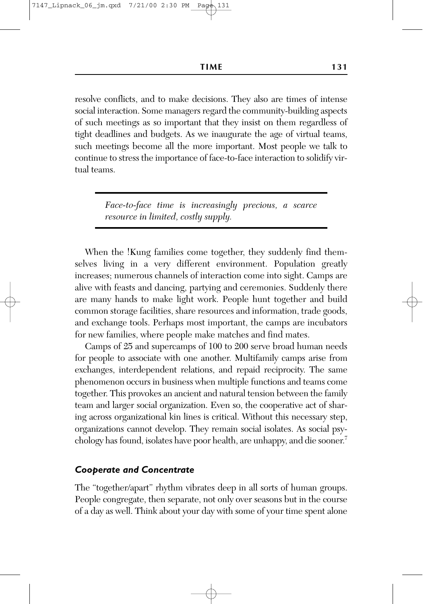resolve conflicts, and to make decisions. They also are times of intense social interaction. Some managers regard the community-building aspects of such meetings as so important that they insist on them regardless of tight deadlines and budgets. As we inaugurate the age of virtual teams, such meetings become all the more important. Most people we talk to continue to stress the importance of face-to-face interaction to solidify virtual teams.

> *Face-to-face time is increasingly precious, a scarce resource in limited, costly supply.*

When the !Kung families come together, they suddenly find themselves living in a very different environment. Population greatly increases; numerous channels of interaction come into sight. Camps are alive with feasts and dancing, partying and ceremonies. Suddenly there are many hands to make light work. People hunt together and build common storage facilities, share resources and information, trade goods, and exchange tools. Perhaps most important, the camps are incubators for new families, where people make matches and find mates.

Camps of 25 and supercamps of 100 to 200 serve broad human needs for people to associate with one another. Multifamily camps arise from exchanges, interdependent relations, and repaid reciprocity. The same phenomenon occurs in business when multiple functions and teams come together. This provokes an ancient and natural tension between the family team and larger social organization. Even so, the cooperative act of sharing across organizational kin lines is critical. Without this necessary step, organizations cannot develop. They remain social isolates. As social psychology has found, isolates have poor health, are unhappy, and die sooner.7

#### *Cooperate and Concentrate*

The "together/apart" rhythm vibrates deep in all sorts of human groups. People congregate, then separate, not only over seasons but in the course of a day as well. Think about your day with some of your time spent alone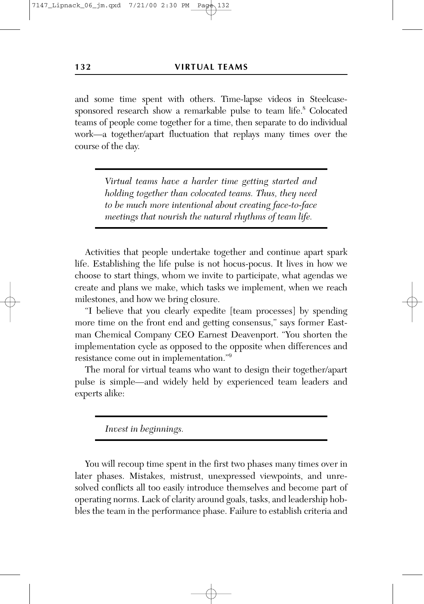and some time spent with others. Time-lapse videos in Steelcasesponsored research show a remarkable pulse to team life.<sup>8</sup> Colocated teams of people come together for a time, then separate to do individual work—a together/apart fluctuation that replays many times over the course of the day.

> *Virtual teams have a harder time getting started and holding together than colocated teams. Thus, they need to be much more intentional about creating face-to-face meetings that nourish the natural rhythms of team life.*

Activities that people undertake together and continue apart spark life. Establishing the life pulse is not hocus-pocus. It lives in how we choose to start things, whom we invite to participate, what agendas we create and plans we make, which tasks we implement, when we reach milestones, and how we bring closure.

"I believe that you clearly expedite [team processes] by spending more time on the front end and getting consensus," says former Eastman Chemical Company CEO Earnest Deavenport. "You shorten the implementation cycle as opposed to the opposite when differences and resistance come out in implementation."9

The moral for virtual teams who want to design their together/apart pulse is simple—and widely held by experienced team leaders and experts alike:

*Invest in beginnings.*

You will recoup time spent in the first two phases many times over in later phases. Mistakes, mistrust, unexpressed viewpoints, and unresolved conflicts all too easily introduce themselves and become part of operating norms. Lack of clarity around goals, tasks, and leadership hobbles the team in the performance phase. Failure to establish criteria and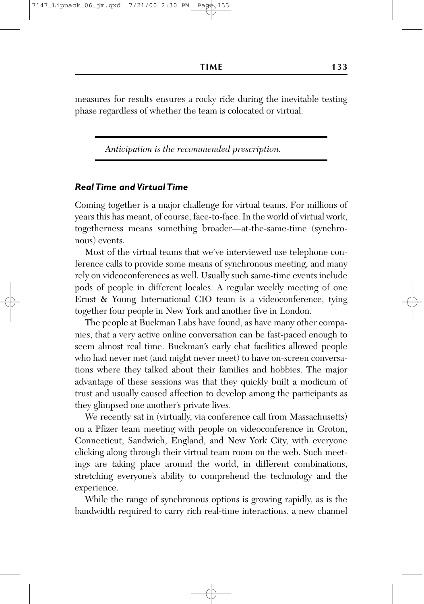measures for results ensures a rocky ride during the inevitable testing phase regardless of whether the team is colocated or virtual.

*Anticipation is the recommended prescription.*

#### *Real Time and Virtual Time*

Coming together is a major challenge for virtual teams. For millions of years this has meant, of course, face-to-face. In the world of virtual work, togetherness means something broader—at-the-same-time (synchronous) events.

Most of the virtual teams that we've interviewed use telephone conference calls to provide some means of synchronous meeting, and many rely on videoconferences as well. Usually such same-time events include pods of people in different locales. A regular weekly meeting of one Ernst & Young International CIO team is a videoconference, tying together four people in New York and another five in London.

The people at Buckman Labs have found, as have many other companies, that a very active online conversation can be fast-paced enough to seem almost real time. Buckman's early chat facilities allowed people who had never met (and might never meet) to have on-screen conversations where they talked about their families and hobbies. The major advantage of these sessions was that they quickly built a modicum of trust and usually caused affection to develop among the participants as they glimpsed one another's private lives.

We recently sat in (virtually, via conference call from Massachusetts) on a Pfizer team meeting with people on videoconference in Groton, Connecticut, Sandwich, England, and New York City, with everyone clicking along through their virtual team room on the web. Such meetings are taking place around the world, in different combinations, stretching everyone's ability to comprehend the technology and the experience.

While the range of synchronous options is growing rapidly, as is the bandwidth required to carry rich real-time interactions, a new channel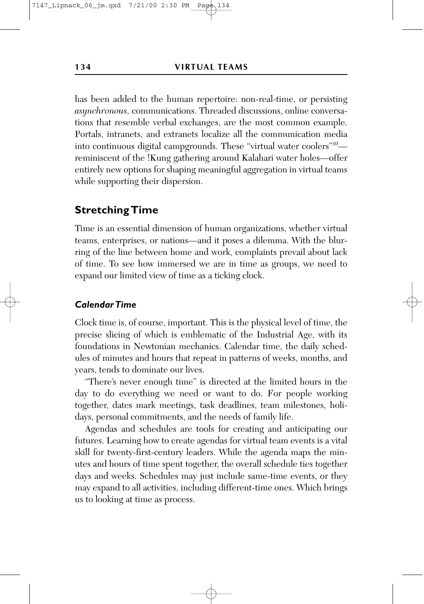has been added to the human repertoire: non-real-time, or persisting *asynchronous,* communications. Threaded discussions, online conversations that resemble verbal exchanges, are the most common example. Portals, intranets, and extranets localize all the communication media into continuous digital campgrounds. These "virtual water coolers"10 reminiscent of the !Kung gathering around Kalahari water holes—offer entirely new options for shaping meaningful aggregation in virtual teams while supporting their dispersion.

# **Stretching Time**

Time is an essential dimension of human organizations, whether virtual teams, enterprises, or nations—and it poses a dilemma. With the blurring of the line between home and work, complaints prevail about lack of time. To see how immersed we are in time as groups, we need to expand our limited view of time as a ticking clock.

# *Calendar Time*

Clock time is, of course, important. This is the physical level of time, the precise slicing of which is emblematic of the Industrial Age, with its foundations in Newtonian mechanics. Calendar time, the daily schedules of minutes and hours that repeat in patterns of weeks, months, and years, tends to dominate our lives.

"There's never enough time" is directed at the limited hours in the day to do everything we need or want to do. For people working together, dates mark meetings, task deadlines, team milestones, holidays, personal commitments, and the needs of family life.

Agendas and schedules are tools for creating and anticipating our futures. Learning how to create agendas for virtual team events is a vital skill for twenty-first-century leaders. While the agenda maps the minutes and hours of time spent together, the overall schedule ties together days and weeks. Schedules may just include same-time events, or they may expand to all activities, including different-time ones. Which brings us to looking at time as process.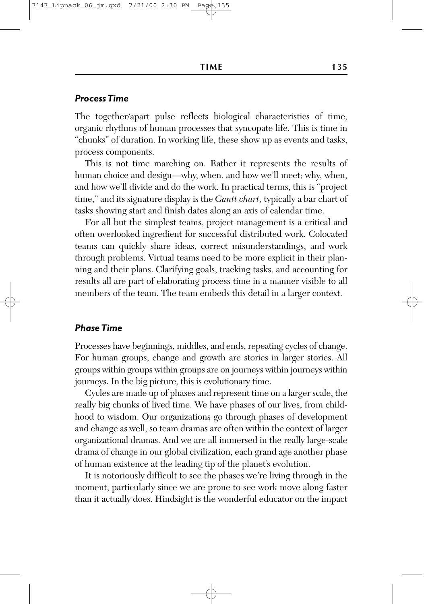## *Process Time*

The together/apart pulse reflects biological characteristics of time, organic rhythms of human processes that syncopate life. This is time in "chunks" of duration. In working life, these show up as events and tasks, process components.

This is not time marching on. Rather it represents the results of human choice and design—why, when, and how we'll meet; why, when, and how we'll divide and do the work. In practical terms, this is "project time," and its signature display is the *Gantt chart,* typically a bar chart of tasks showing start and finish dates along an axis of calendar time.

For all but the simplest teams, project management is a critical and often overlooked ingredient for successful distributed work. Colocated teams can quickly share ideas, correct misunderstandings, and work through problems. Virtual teams need to be more explicit in their planning and their plans. Clarifying goals, tracking tasks, and accounting for results all are part of elaborating process time in a manner visible to all members of the team. The team embeds this detail in a larger context.

#### *Phase Time*

Processes have beginnings, middles, and ends, repeating cycles of change. For human groups, change and growth are stories in larger stories. All groups within groups within groups are on journeys within journeys within journeys. In the big picture, this is evolutionary time.

Cycles are made up of phases and represent time on a larger scale, the really big chunks of lived time. We have phases of our lives, from childhood to wisdom. Our organizations go through phases of development and change as well, so team dramas are often within the context of larger organizational dramas. And we are all immersed in the really large-scale drama of change in our global civilization, each grand age another phase of human existence at the leading tip of the planet's evolution.

It is notoriously difficult to see the phases we're living through in the moment, particularly since we are prone to see work move along faster than it actually does. Hindsight is the wonderful educator on the impact